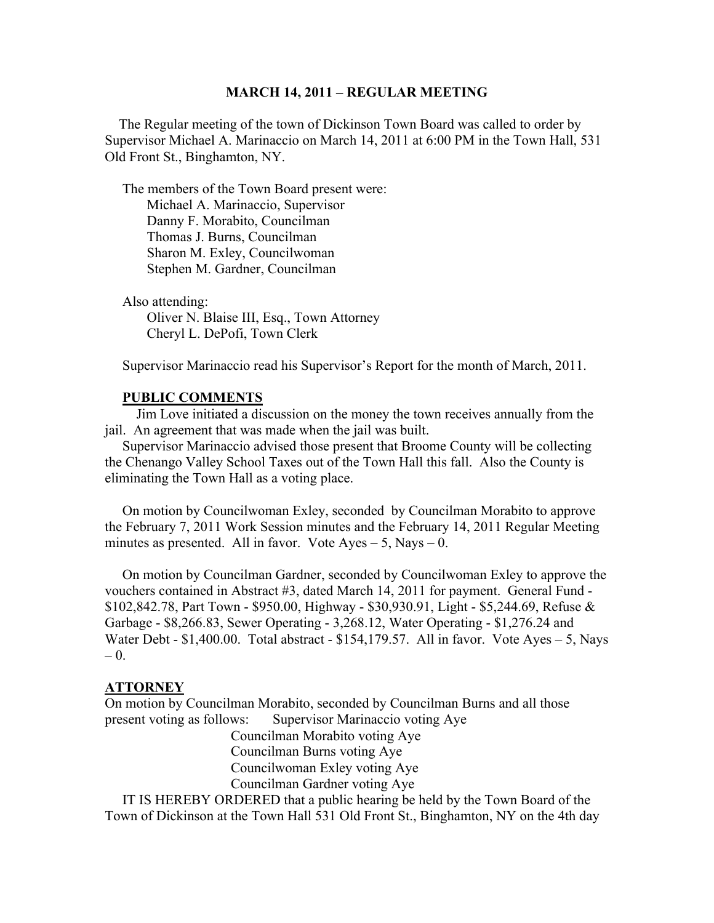#### **MARCH 14, 2011 – REGULAR MEETING**

 The Regular meeting of the town of Dickinson Town Board was called to order by Supervisor Michael A. Marinaccio on March 14, 2011 at 6:00 PM in the Town Hall, 531 Old Front St., Binghamton, NY.

 The members of the Town Board present were: Michael A. Marinaccio, Supervisor Danny F. Morabito, Councilman Thomas J. Burns, Councilman Sharon M. Exley, Councilwoman Stephen M. Gardner, Councilman

 Also attending: Oliver N. Blaise III, Esq., Town Attorney Cheryl L. DePofi, Town Clerk

Supervisor Marinaccio read his Supervisor's Report for the month of March, 2011.

## **PUBLIC COMMENTS**

 Jim Love initiated a discussion on the money the town receives annually from the jail. An agreement that was made when the jail was built.

 Supervisor Marinaccio advised those present that Broome County will be collecting the Chenango Valley School Taxes out of the Town Hall this fall. Also the County is eliminating the Town Hall as a voting place.

 On motion by Councilwoman Exley, seconded by Councilman Morabito to approve the February 7, 2011 Work Session minutes and the February 14, 2011 Regular Meeting minutes as presented. All in favor. Vote  $Ayes - 5$ , Nays  $- 0$ .

 On motion by Councilman Gardner, seconded by Councilwoman Exley to approve the vouchers contained in Abstract #3, dated March 14, 2011 for payment. General Fund - \$102,842.78, Part Town - \$950.00, Highway - \$30,930.91, Light - \$5,244.69, Refuse & Garbage - \$8,266.83, Sewer Operating - 3,268.12, Water Operating - \$1,276.24 and Water Debt -  $$1,400.00$ . Total abstract -  $$154,179.57$ . All in favor. Vote Ayes - 5, Nays  $-0$ .

#### **ATTORNEY**

On motion by Councilman Morabito, seconded by Councilman Burns and all those present voting as follows: Supervisor Marinaccio voting Aye

> Councilman Morabito voting Aye Councilman Burns voting Aye Councilwoman Exley voting Aye Councilman Gardner voting Aye

 IT IS HEREBY ORDERED that a public hearing be held by the Town Board of the Town of Dickinson at the Town Hall 531 Old Front St., Binghamton, NY on the 4th day